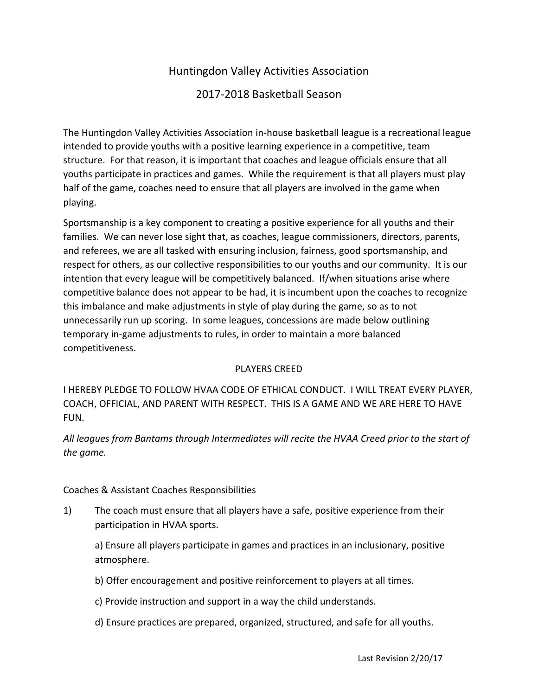# Huntingdon!Valley!Activities!Association

# 2017-2018 Basketball Season

The Huntingdon Valley Activities Association in-house basketball league is a recreational league intended to provide youths with a positive learning experience in a competitive, team structure. For that reason, it is important that coaches and league officials ensure that all youths participate in practices and games. While the requirement is that all players must play half of the game, coaches need to ensure that all players are involved in the game when playing.

Sportsmanship is a key component to creating a positive experience for all youths and their families. We can never lose sight that, as coaches, league commissioners, directors, parents, and referees, we are all tasked with ensuring inclusion, fairness, good sportsmanship, and respect for others, as our collective responsibilities to our youths and our community. It is our intention that every league will be competitively balanced. If/when situations arise where competitive balance does not appear to be had, it is incumbent upon the coaches to recognize this imbalance and make adjustments in style of play during the game, so as to not unnecessarily run up scoring. In some leagues, concessions are made below outlining temporary in-game adjustments to rules, in order to maintain a more balanced competitiveness.

# PLAYERS CREED

I HEREBY PLEDGE TO FOLLOW HVAA CODE OF ETHICAL CONDUCT. I WILL TREAT EVERY PLAYER, COACH, OFFICIAL, AND PARENT WITH RESPECT. THIS IS A GAME AND WE ARE HERE TO HAVE FUN.

All leagues from Bantams through Intermediates will recite the HVAA Creed prior to the start of *the#game.*

## Coaches & Assistant Coaches Responsibilities

1) The coach must ensure that all players have a safe, positive experience from their participation in HVAA sports.

a) Ensure all players participate in games and practices in an inclusionary, positive atmosphere.

- b) Offer encouragement and positive reinforcement to players at all times.
- c) Provide instruction and support in a way the child understands.
- d) Ensure practices are prepared, organized, structured, and safe for all youths.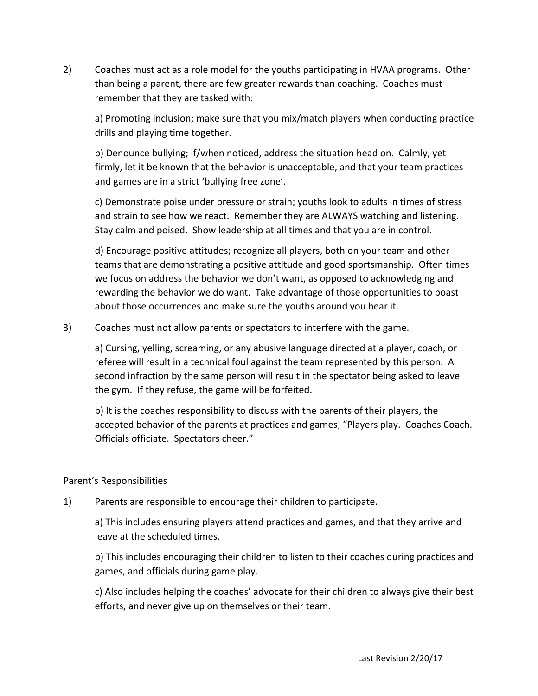2) Coaches must act as a role model for the youths participating in HVAA programs. Other than being a parent, there are few greater rewards than coaching. Coaches must remember that they are tasked with:

a) Promoting inclusion; make sure that you mix/match players when conducting practice drills and playing time together.

b) Denounce bullying; if/when noticed, address the situation head on. Calmly, yet firmly, let it be known that the behavior is unacceptable, and that your team practices and games are in a strict 'bullying free zone'.

c) Demonstrate poise under pressure or strain; youths look to adults in times of stress and strain to see how we react. Remember they are ALWAYS watching and listening. Stay calm and poised. Show leadership at all times and that you are in control.

d) Encourage positive attitudes; recognize all players, both on your team and other teams that are demonstrating a positive attitude and good sportsmanship. Often times we focus on address the behavior we don't want, as opposed to acknowledging and rewarding the behavior we do want. Take advantage of those opportunities to boast about those occurrences and make sure the youths around you hear it.

3) Coaches must not allow parents or spectators to interfere with the game.

a) Cursing, yelling, screaming, or any abusive language directed at a player, coach, or referee will result in a technical foul against the team represented by this person. A second infraction by the same person will result in the spectator being asked to leave the gym. If they refuse, the game will be forfeited.

b) It is the coaches responsibility to discuss with the parents of their players, the accepted behavior of the parents at practices and games; "Players play. Coaches Coach. Officials officiate. Spectators cheer."

# Parent's Responsibilities

1) Parents are responsible to encourage their children to participate.

a) This includes ensuring players attend practices and games, and that they arrive and leave at the scheduled times.

b) This includes encouraging their children to listen to their coaches during practices and games, and officials during game play.

c) Also includes helping the coaches' advocate for their children to always give their best efforts, and never give up on themselves or their team.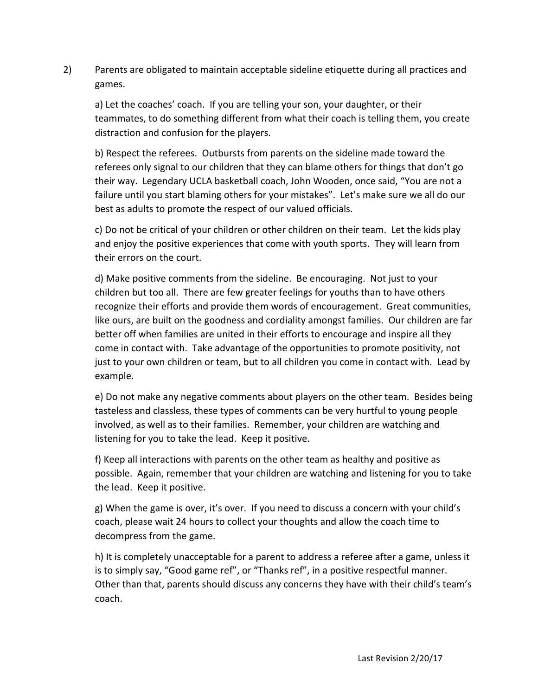2) Parents are obligated to maintain acceptable sideline etiquette during all practices and games.

a) Let the coaches' coach. If you are telling your son, your daughter, or their teammates, to do something different from what their coach is telling them, you create distraction and confusion for the players.

b) Respect the referees. Outbursts from parents on the sideline made toward the referees only signal to our children that they can blame others for things that don't go their way. Legendary UCLA basketball coach, John Wooden, once said, "You are not a failure until you start blaming others for your mistakes". Let's make sure we all do our best as adults to promote the respect of our valued officials.

c) Do not be critical of your children or other children on their team. Let the kids play and enjoy the positive experiences that come with youth sports. They will learn from their errors on the court.

d) Make positive comments from the sideline. Be encouraging. Not just to your children but too all. There are few greater feelings for youths than to have others recognize their efforts and provide them words of encouragement. Great communities, like ours, are built on the goodness and cordiality amongst families. Our children are far better off when families are united in their efforts to encourage and inspire all they come in contact with. Take advantage of the opportunities to promote positivity, not just to your own children or team, but to all children you come in contact with. Lead by example.

e) Do not make any negative comments about players on the other team. Besides being tasteless and classless, these types of comments can be very hurtful to young people involved, as well as to their families. Remember, your children are watching and listening for you to take the lead. Keep it positive.

f) Keep all interactions with parents on the other team as healthy and positive as possible. Again, remember that your children are watching and listening for you to take the lead. Keep it positive.

g) When the game is over, it's over. If you need to discuss a concern with your child's coach, please wait 24 hours to collect your thoughts and allow the coach time to decompress from the game.

h) It is completely unacceptable for a parent to address a referee after a game, unless it is to simply say, "Good game ref", or "Thanks ref", in a positive respectful manner. Other than that, parents should discuss any concerns they have with their child's team's coach.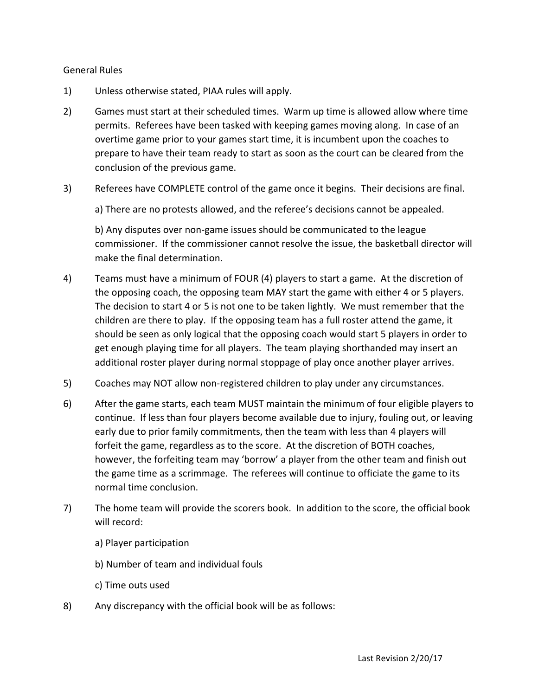#### General!Rules

- 1) Unless otherwise stated, PIAA rules will apply.
- 2) Games must start at their scheduled times. Warm up time is allowed allow where time permits. Referees have been tasked with keeping games moving along. In case of an overtime game prior to your games start time, it is incumbent upon the coaches to prepare to have their team ready to start as soon as the court can be cleared from the conclusion of the previous game.
- 3) Referees have COMPLETE control of the game once it begins. Their decisions are final.

a) There are no protests allowed, and the referee's decisions cannot be appealed.

b) Any disputes over non-game issues should be communicated to the league commissioner. If the commissioner cannot resolve the issue, the basketball director will make the final determination.

- 4) Teams must have a minimum of FOUR (4) players to start a game. At the discretion of the opposing coach, the opposing team MAY start the game with either 4 or 5 players. The decision to start 4 or 5 is not one to be taken lightly. We must remember that the children are there to play. If the opposing team has a full roster attend the game, it should be seen as only logical that the opposing coach would start 5 players in order to get enough playing time for all players. The team playing shorthanded may insert an additional roster player during normal stoppage of play once another player arrives.
- 5) Coaches may NOT allow non-registered children to play under any circumstances.
- 6) After the game starts, each team MUST maintain the minimum of four eligible players to continue. If less than four players become available due to injury, fouling out, or leaving early due to prior family commitments, then the team with less than 4 players will forfeit the game, regardless as to the score. At the discretion of BOTH coaches, however, the forfeiting team may 'borrow' a player from the other team and finish out the game time as a scrimmage. The referees will continue to officiate the game to its normal time conclusion.
- 7) The home team will provide the scorers book. In addition to the score, the official book will record:
	- a) Player participation
	- b) Number of team and individual fouls
	- c) Time outs used
- 8) Any discrepancy with the official book will be as follows: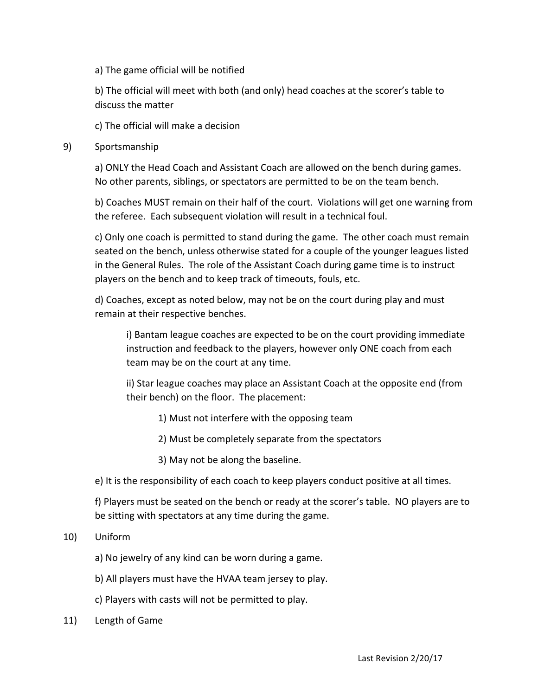## a) The game official will be notified

b) The official will meet with both (and only) head coaches at the scorer's table to discuss the matter

c) The official will make a decision

## 9) Sportsmanship

a) ONLY the Head Coach and Assistant Coach are allowed on the bench during games. No other parents, siblings, or spectators are permitted to be on the team bench.

b) Coaches MUST remain on their half of the court. Violations will get one warning from the referee. Each subsequent violation will result in a technical foul.

c) Only one coach is permitted to stand during the game. The other coach must remain seated on the bench, unless otherwise stated for a couple of the younger leagues listed in the General Rules. The role of the Assistant Coach during game time is to instruct players on the bench and to keep track of timeouts, fouls, etc.

d) Coaches, except as noted below, may not be on the court during play and must remain at their respective benches.

i) Bantam league coaches are expected to be on the court providing immediate instruction and feedback to the players, however only ONE coach from each team may be on the court at any time.

ii) Star league coaches may place an Assistant Coach at the opposite end (from their bench) on the floor. The placement:

- 1) Must not interfere with the opposing team
- 2) Must be completely separate from the spectators
- 3) May not be along the baseline.

e) It is the responsibility of each coach to keep players conduct positive at all times.

f) Players must be seated on the bench or ready at the scorer's table. NO players are to be sitting with spectators at any time during the game.

## 10) Uniform

- a) No jewelry of any kind can be worn during a game.
- b) All players must have the HVAA team jersey to play.
- c) Players with casts will not be permitted to play.
- 11) Length of Game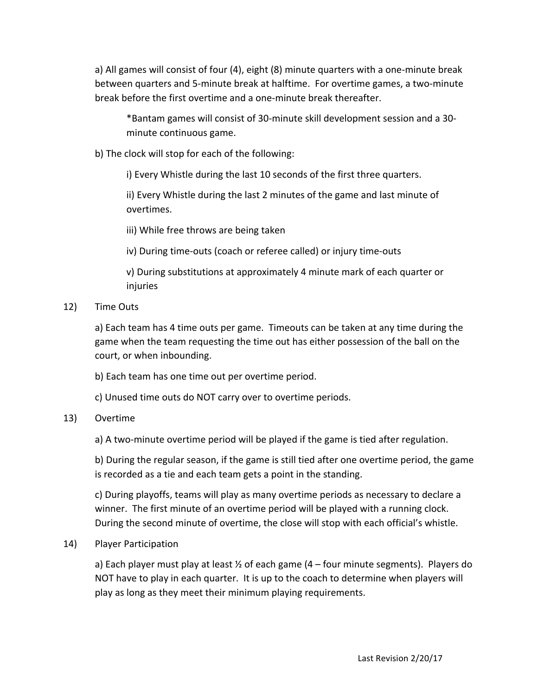a) All games will consist of four (4), eight (8) minute quarters with a one-minute break between quarters and 5-minute break at halftime. For overtime games, a two-minute break before the first overtime and a one-minute break thereafter.

\*Bantam games will consist of 30-minute skill development session and a 30minute continuous game.

b) The clock will stop for each of the following:

i) Every Whistle during the last 10 seconds of the first three quarters.

ii) Every Whistle during the last 2 minutes of the game and last minute of overtimes.

iii) While free throws are being taken

iv) During time-outs (coach or referee called) or injury time-outs

v) During substitutions at approximately 4 minute mark of each quarter or injuries

12) Time Outs

a) Each team has 4 time outs per game. Timeouts can be taken at any time during the game when the team requesting the time out has either possession of the ball on the court, or when inbounding.

b) Each team has one time out per overtime period.

c) Unused time outs do NOT carry over to overtime periods.

# 13) Overtime

a) A two-minute overtime period will be played if the game is tied after regulation.

b) During the regular season, if the game is still tied after one overtime period, the game is recorded as a tie and each team gets a point in the standing.

c) During playoffs, teams will play as many overtime periods as necessary to declare a winner. The first minute of an overtime period will be played with a running clock. During the second minute of overtime, the close will stop with each official's whistle.

14) Player Participation

a) Each player must play at least  $\frac{1}{2}$  of each game (4 – four minute segments). Players do NOT have to play in each quarter. It is up to the coach to determine when players will play as long as they meet their minimum playing requirements.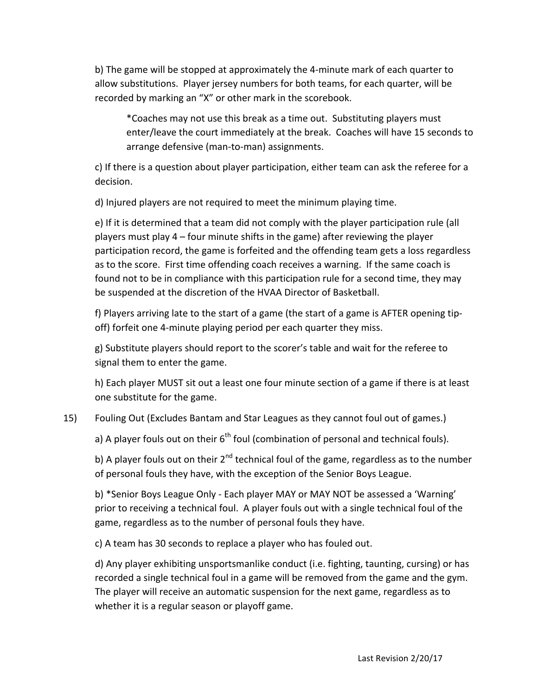b) The game will be stopped at approximately the 4-minute mark of each quarter to allow substitutions. Player jersey numbers for both teams, for each quarter, will be recorded by marking an "X" or other mark in the scorebook.

\*Coaches may not use this break as a time out. Substituting players must enter/leave the court immediately at the break. Coaches will have 15 seconds to arrange defensive (man-to-man) assignments.

c) If there is a question about player participation, either team can ask the referee for a decision.

d) Injured players are not required to meet the minimum playing time.

e) If it is determined that a team did not comply with the player participation rule (all players must play  $4$  – four minute shifts in the game) after reviewing the player participation record, the game is forfeited and the offending team gets a loss regardless as to the score. First time offending coach receives a warning. If the same coach is found not to be in compliance with this participation rule for a second time, they may be suspended at the discretion of the HVAA Director of Basketball.

f) Players arriving late to the start of a game (the start of a game is AFTER opening tipoff) forfeit one 4-minute playing period per each quarter they miss.

g) Substitute players should report to the scorer's table and wait for the referee to signal them to enter the game.

h) Each player MUST sit out a least one four minute section of a game if there is at least one substitute for the game.

# 15) Fouling Out (Excludes Bantam and Star Leagues as they cannot foul out of games.)

a) A player fouls out on their  $6<sup>th</sup>$  foul (combination of personal and technical fouls).

b) A player fouls out on their  $2<sup>nd</sup>$  technical foul of the game, regardless as to the number of personal fouls they have, with the exception of the Senior Boys League.

b) \*Senior Boys League Only - Each player MAY or MAY NOT be assessed a 'Warning' prior to receiving a technical foul. A player fouls out with a single technical foul of the game, regardless as to the number of personal fouls they have.

c) A team has 30 seconds to replace a player who has fouled out.

d) Any player exhibiting unsportsmanlike conduct (i.e. fighting, taunting, cursing) or has recorded a single technical foul in a game will be removed from the game and the gym. The player will receive an automatic suspension for the next game, regardless as to whether it is a regular season or playoff game.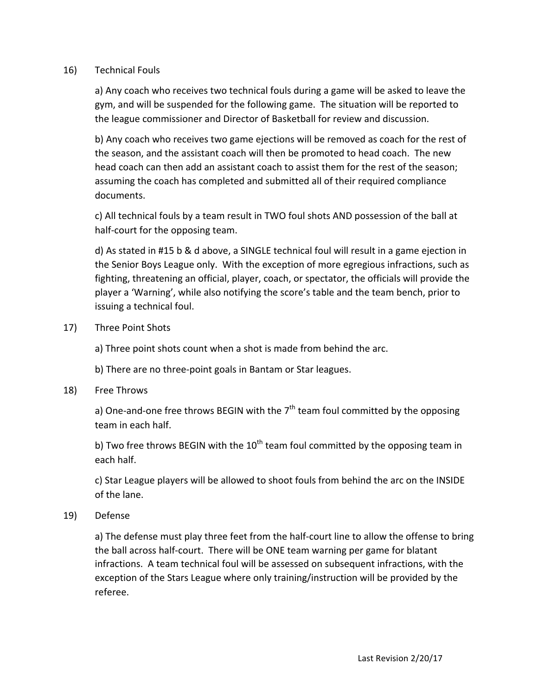## 16) Technical Fouls

a) Any coach who receives two technical fouls during a game will be asked to leave the gym, and will be suspended for the following game. The situation will be reported to the league commissioner and Director of Basketball for review and discussion.

b) Any coach who receives two game ejections will be removed as coach for the rest of the season, and the assistant coach will then be promoted to head coach. The new head coach can then add an assistant coach to assist them for the rest of the season; assuming the coach has completed and submitted all of their required compliance documents.

c) All technical fouls by a team result in TWO foul shots AND possession of the ball at half-court for the opposing team.

d) As stated in #15 b & d above, a SINGLE technical foul will result in a game ejection in the Senior Boys League only. With the exception of more egregious infractions, such as fighting, threatening an official, player, coach, or spectator, the officials will provide the player a 'Warning', while also notifying the score's table and the team bench, prior to issuing a technical foul.

17) Three Point Shots

a) Three point shots count when a shot is made from behind the arc.

b) There are no three-point goals in Bantam or Star leagues.

18) Free Throws

a) One-and-one free throws BEGIN with the  $7<sup>th</sup>$  team foul committed by the opposing team in each half.

b) Two free throws BEGIN with the  $10^{th}$  team foul committed by the opposing team in each half.

c) Star League players will be allowed to shoot fouls from behind the arc on the INSIDE of the lane.

19) Defense

a) The defense must play three feet from the half-court line to allow the offense to bring the ball across half-court. There will be ONE team warning per game for blatant infractions. A team technical foul will be assessed on subsequent infractions, with the exception of the Stars League where only training/instruction will be provided by the referee.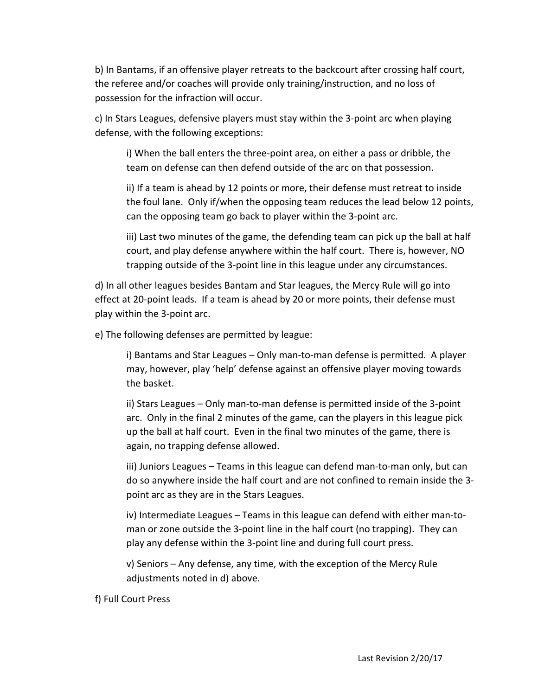b) In Bantams, if an offensive player retreats to the backcourt after crossing half court, the referee and/or coaches will provide only training/instruction, and no loss of possession for the infraction will occur.

c) In Stars Leagues, defensive players must stay within the 3-point arc when playing defense, with the following exceptions:

i) When the ball enters the three-point area, on either a pass or dribble, the team on defense can then defend outside of the arc on that possession.

ii) If a team is ahead by 12 points or more, their defense must retreat to inside the foul lane. Only if/when the opposing team reduces the lead below 12 points, can the opposing team go back to player within the 3-point arc.

iii) Last two minutes of the game, the defending team can pick up the ball at half court, and play defense anywhere within the half court. There is, however, NO trapping outside of the 3-point line in this league under any circumstances.

d) In all other leagues besides Bantam and Star leagues, the Mercy Rule will go into effect at 20-point leads. If a team is ahead by 20 or more points, their defense must play within the 3-point arc.

e) The following defenses are permitted by league:

i) Bantams and Star Leagues – Only man-to-man defense is permitted. A player may, however, play 'help' defense against an offensive player moving towards the basket.

ii) Stars Leagues – Only man-to-man defense is permitted inside of the 3-point arc. Only in the final 2 minutes of the game, can the players in this league pick up the ball at half court. Even in the final two minutes of the game, there is again, no trapping defense allowed.

iii) Juniors Leagues – Teams in this league can defend man-to-man only, but can do so anywhere inside the half court and are not confined to remain inside the 3point arc as they are in the Stars Leagues.

iv) Intermediate Leagues – Teams in this league can defend with either man-toman or zone outside the 3-point line in the half court (no trapping). They can play any defense within the 3-point line and during full court press.

v) Seniors – Any defense, any time, with the exception of the Mercy Rule adjustments noted in d) above.

f) Full Court Press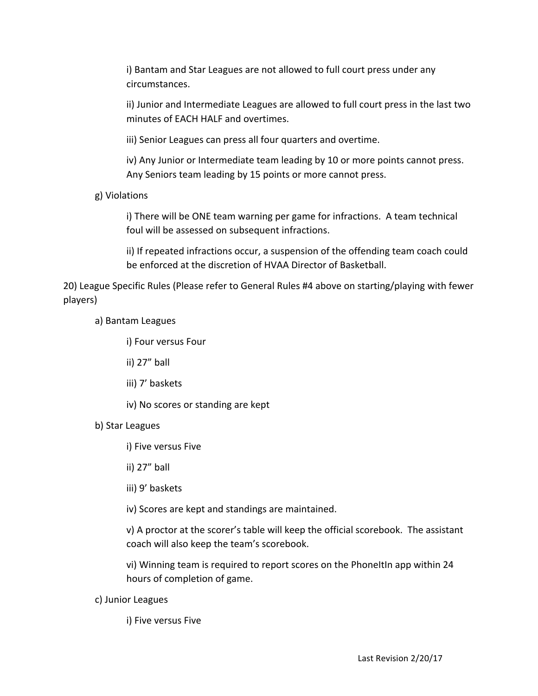i) Bantam and Star Leagues are not allowed to full court press under any circumstances.

ii) Junior and Intermediate Leagues are allowed to full court press in the last two minutes of EACH HALF and overtimes.

iii) Senior Leagues can press all four quarters and overtime.

iv) Any Junior or Intermediate team leading by 10 or more points cannot press. Any Seniors team leading by 15 points or more cannot press.

g) Violations

i) There will be ONE team warning per game for infractions. A team technical foul will be assessed on subsequent infractions.

ii) If repeated infractions occur, a suspension of the offending team coach could be enforced at the discretion of HVAA Director of Basketball.

20) League Specific Rules (Please refer to General Rules #4 above on starting/playing with fewer players)

a) Bantam Leagues

i) Four versus Four

ii) 27" ball

iii) 7' baskets

iv) No scores or standing are kept

b) Star Leagues

i) Five versus Five

ii) 27" ball

iii) 9' baskets

iv) Scores are kept and standings are maintained.

v) A proctor at the scorer's table will keep the official scorebook. The assistant coach will also keep the team's scorebook.

vi) Winning team is required to report scores on the PhoneItIn app within 24 hours of completion of game.

c) Junior Leagues

i) Five versus Five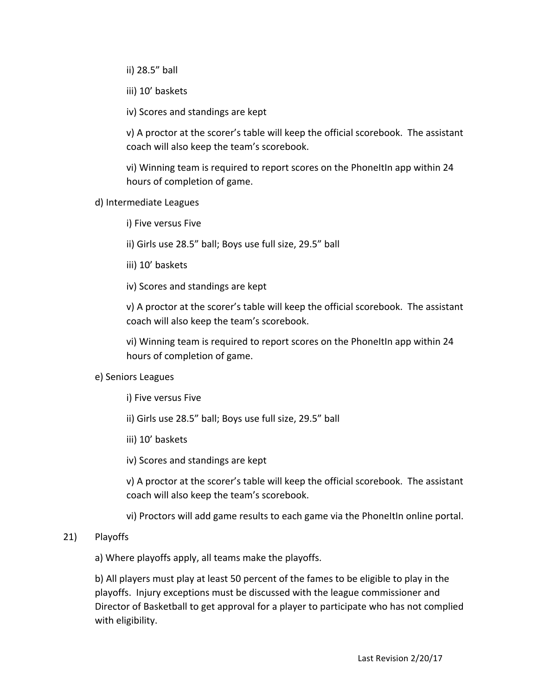ii) 28.5" ball

iii) 10' baskets

iv) Scores and standings are kept

v) A proctor at the scorer's table will keep the official scorebook. The assistant coach will also keep the team's scorebook.

vi) Winning team is required to report scores on the PhoneItIn app within 24 hours of completion of game.

d) Intermediate Leagues

i) Five versus Five

ii) Girls use 28.5" ball; Boys use full size, 29.5" ball

iii) 10' baskets

iv) Scores and standings are kept

v) A proctor at the scorer's table will keep the official scorebook. The assistant coach will also keep the team's scorebook.

vi) Winning team is required to report scores on the PhoneItIn app within 24 hours of completion of game.

## e) Seniors Leagues

i) Five versus Five

ii) Girls use 28.5" ball; Boys use full size, 29.5" ball

iii) 10' baskets

iv) Scores and standings are kept

v) A proctor at the scorer's table will keep the official scorebook. The assistant coach will also keep the team's scorebook.

vi) Proctors will add game results to each game via the PhoneItIn online portal.

# 21) Playoffs

a) Where playoffs apply, all teams make the playoffs.

b) All players must play at least 50 percent of the fames to be eligible to play in the playoffs. Injury exceptions must be discussed with the league commissioner and Director of Basketball to get approval for a player to participate who has not complied with eligibility.